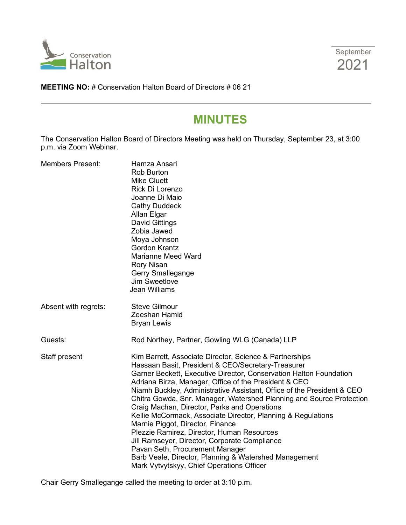



**MEETING NO:** # Conservation Halton Board of Directors # 06 21

# **MINUTES**

The Conservation Halton Board of Directors Meeting was held on Thursday, September 23, at 3:00 p.m. via Zoom Webinar.

| <b>Members Present:</b> | Hamza Ansari<br><b>Rob Burton</b><br><b>Mike Cluett</b><br>Rick Di Lorenzo<br>Joanne Di Maio<br><b>Cathy Duddeck</b><br>Allan Elgar<br><b>David Gittings</b><br>Zobia Jawed<br>Moya Johnson<br><b>Gordon Krantz</b><br>Marianne Meed Ward<br><b>Rory Nisan</b><br>Gerry Smallegange<br>Jim Sweetlove<br><b>Jean Williams</b>                                                                                                                                                                                                                                                                                                                                                                                                                                                               |
|-------------------------|--------------------------------------------------------------------------------------------------------------------------------------------------------------------------------------------------------------------------------------------------------------------------------------------------------------------------------------------------------------------------------------------------------------------------------------------------------------------------------------------------------------------------------------------------------------------------------------------------------------------------------------------------------------------------------------------------------------------------------------------------------------------------------------------|
| Absent with regrets:    | <b>Steve Gilmour</b><br>Zeeshan Hamid<br><b>Bryan Lewis</b>                                                                                                                                                                                                                                                                                                                                                                                                                                                                                                                                                                                                                                                                                                                                |
| Guests:                 | Rod Northey, Partner, Gowling WLG (Canada) LLP                                                                                                                                                                                                                                                                                                                                                                                                                                                                                                                                                                                                                                                                                                                                             |
| Staff present           | Kim Barrett, Associate Director, Science & Partnerships<br>Hassaan Basit, President & CEO/Secretary-Treasurer<br>Garner Beckett, Executive Director, Conservation Halton Foundation<br>Adriana Birza, Manager, Office of the President & CEO<br>Niamh Buckley, Administrative Assistant, Office of the President & CEO<br>Chitra Gowda, Snr. Manager, Watershed Planning and Source Protection<br>Craig Machan, Director, Parks and Operations<br>Kellie McCormack, Associate Director, Planning & Regulations<br>Marnie Piggot, Director, Finance<br>Plezzie Ramirez, Director, Human Resources<br>Jill Ramseyer, Director, Corporate Compliance<br>Pavan Seth, Procurement Manager<br>Barb Veale, Director, Planning & Watershed Management<br>Mark Vytvytskyy, Chief Operations Officer |

Chair Gerry Smallegange called the meeting to order at 3:10 p.m.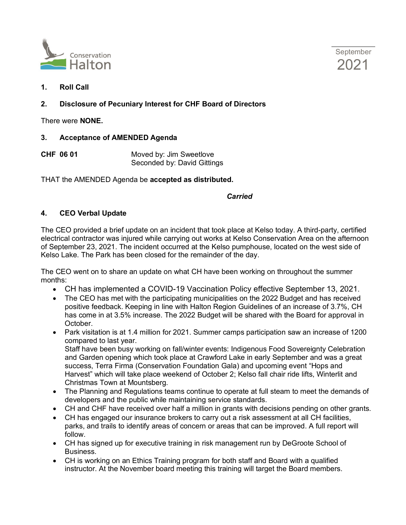



**1. Roll Call**

# **2. Disclosure of Pecuniary Interest for CHF Board of Directors**

There were **NONE.**

## **3. Acceptance of AMENDED Agenda**

**CHF 06 01** Moved by: Jim Sweetlove Seconded by: David Gittings

THAT the AMENDED Agenda be **accepted as distributed.**

#### *Carried*

# **4. CEO Verbal Update**

The CEO provided a brief update on an incident that took place at Kelso today. A third-party, certified electrical contractor was injured while carrying out works at Kelso Conservation Area on the afternoon of September 23, 2021. The incident occurred at the Kelso pumphouse, located on the west side of Kelso Lake. The Park has been closed for the remainder of the day.

The CEO went on to share an update on what CH have been working on throughout the summer months:

- CH has implemented a COVID-19 Vaccination Policy effective September 13, 2021.
- The CEO has met with the participating municipalities on the 2022 Budget and has received positive feedback. Keeping in line with Halton Region Guidelines of an increase of 3.7%, CH has come in at 3.5% increase. The 2022 Budget will be shared with the Board for approval in October.
- Park visitation is at 1.4 million for 2021. Summer camps participation saw an increase of 1200 compared to last year.

Staff have been busy working on fall/winter events: Indigenous Food Sovereignty Celebration and Garden opening which took place at Crawford Lake in early September and was a great success, Terra Firma (Conservation Foundation Gala) and upcoming event "Hops and Harvest" which will take place weekend of October 2; Kelso fall chair ride lifts, Winterlit and Christmas Town at Mountsberg.

- The Planning and Regulations teams continue to operate at full steam to meet the demands of developers and the public while maintaining service standards.
- CH and CHF have received over half a million in grants with decisions pending on other grants.
- CH has engaged our insurance brokers to carry out a risk assessment at all CH facilities, parks, and trails to identify areas of concern or areas that can be improved. A full report will follow.
- CH has signed up for executive training in risk management run by DeGroote School of Business.
- CH is working on an Ethics Training program for both staff and Board with a qualified instructor. At the November board meeting this training will target the Board members.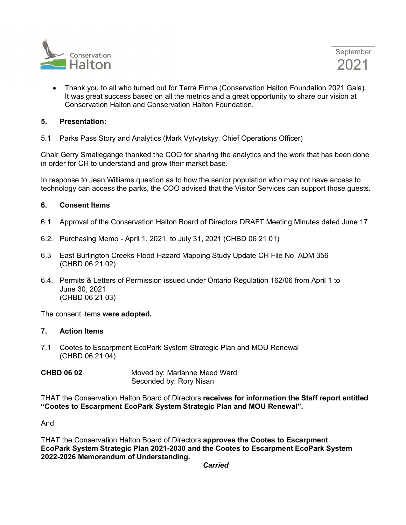

• Thank you to all who turned out for Terra Firma (Conservation Halton Foundation 2021 Gala). It was great success based on all the metrics and a great opportunity to share our vision at Conservation Halton and Conservation Halton Foundation.

#### **5. Presentation:**

5.1 Parks Pass Story and Analytics (Mark Vytvytskyy, Chief Operations Officer)

Chair Gerry Smallegange thanked the COO for sharing the analytics and the work that has been done in order for CH to understand and grow their market base.

In response to Jean Williams question as to how the senior population who may not have access to technology can access the parks, the COO advised that the Visitor Services can support those guests.

## **6. Consent Items**

- 6.1 Approval of the Conservation Halton Board of Directors DRAFT Meeting Minutes dated June 17
- 6.2. Purchasing Memo April 1, 2021, to July 31, 2021 (CHBD 06 21 01)
- 6.3 East Burlington Creeks Flood Hazard Mapping Study Update CH File No. ADM 356 (CHBD 06 21 02)
- 6.4. Permits & Letters of Permission issued under Ontario Regulation 162/06 from April 1 to June 30, 2021 (CHBD 06 21 03)

The consent items **were adopted.**

#### **7. Action Items**

7.1 Cootes to Escarpment EcoPark System Strategic Plan and MOU Renewal (CHBD 06 21 04)

| <b>CHBD 06 02</b> | Moved by: Marianne Meed Ward |
|-------------------|------------------------------|
|                   | Seconded by: Rory Nisan      |

THAT the Conservation Halton Board of Directors **receives for information the Staff report entitled "Cootes to Escarpment EcoPark System Strategic Plan and MOU Renewal".**

And

THAT the Conservation Halton Board of Directors **approves the Cootes to Escarpment EcoPark System Strategic Plan 2021-2030 and the Cootes to Escarpment EcoPark System 2022-2026 Memorandum of Understanding.**

*Carried*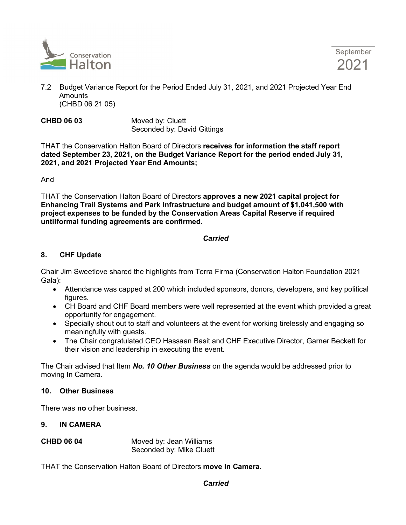

September 2021

- 7.2 Budget Variance Report for the Period Ended July 31, 2021, and 2021 Projected Year End **Amounts** (CHBD 06 21 05)
- **CHBD 06 03** Moved by: Cluett Seconded by: David Gittings

THAT the Conservation Halton Board of Directors **receives for information the staff report dated September 23, 2021, on the Budget Variance Report for the period ended July 31, 2021, and 2021 Projected Year End Amounts;** 

And

THAT the Conservation Halton Board of Directors **approves a new 2021 capital project for Enhancing Trail Systems and Park Infrastructure and budget amount of \$1,041,500 with project expenses to be funded by the Conservation Areas Capital Reserve if required untilformal funding agreements are confirmed.**

## *Carried*

# **8. CHF Update**

Chair Jim Sweetlove shared the highlights from Terra Firma (Conservation Halton Foundation 2021 Gala):

- Attendance was capped at 200 which included sponsors, donors, developers, and key political figures.
- CH Board and CHF Board members were well represented at the event which provided a great opportunity for engagement.
- Specially shout out to staff and volunteers at the event for working tirelessly and engaging so meaningfully with guests.
- The Chair congratulated CEO Hassaan Basit and CHF Executive Director, Garner Beckett for their vision and leadership in executing the event.

The Chair advised that Item *No. 10 Other Business* on the agenda would be addressed prior to moving In Camera.

#### **10. Other Business**

There was **no** other business.

- **9. IN CAMERA**
- **CHBD 06 04** Moved by: Jean Williams Seconded by: Mike Cluett

THAT the Conservation Halton Board of Directors **move In Camera.**